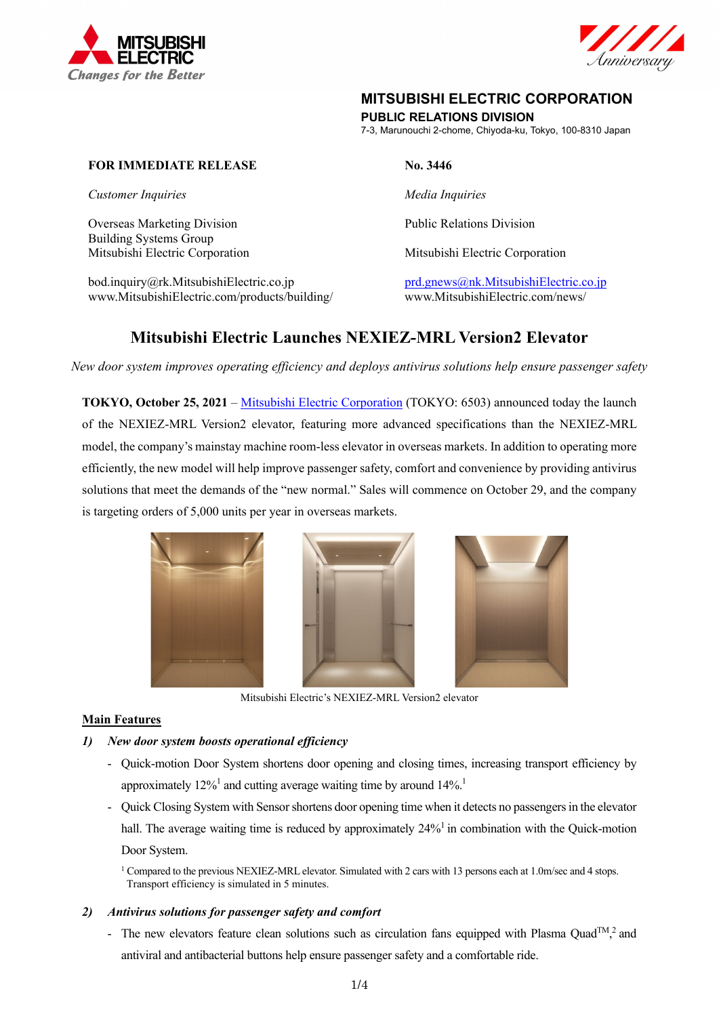



# **MITSUBISHI ELECTRIC CORPORATION**

# **PUBLIC RELATIONS DIVISION**

7-3, Marunouchi 2-chome, Chiyoda-ku, Tokyo, 100-8310 Japan

# **FOR IMMEDIATE RELEASE No. 3446**

*Customer Inquiries* Media Inquiries **Media Inquiries** *Media Inquiries* 

Overseas Marketing Division **Public Relations Division** Public Relations Division Building Systems Group Mitsubishi Electric Corporation Mitsubishi Electric Corporation

bod.inquiry@rk.MitsubishiElectric.co.jp prd.gnews@nk.MitsubishiElectric.co.jp www.MitsubishiElectric.com/products/building/ www.MitsubishiElectric.com/news/

# **Mitsubishi Electric Launches NEXIEZ-MRL Version2 Elevator**

*New door system improves operating efficiency and deploys antivirus solutions help ensure passenger safety* 

**TOKYO, October 25, 2021** – Mitsubishi Electric Corporation (TOKYO: 6503) announced today the launch of the NEXIEZ-MRL Version2 elevator, featuring more advanced specifications than the NEXIEZ-MRL model, the company's mainstay machine room-less elevator in overseas markets. In addition to operating more efficiently, the new model will help improve passenger safety, comfort and convenience by providing antivirus solutions that meet the demands of the "new normal." Sales will commence on October 29, and the company is targeting orders of 5,000 units per year in overseas markets.



Mitsubishi Electric's NEXIEZ-MRL Version2 elevator

#### **Main Features**

- *1) New door system boosts operational efficiency* 
	- Quick-motion Door System shortens door opening and closing times, increasing transport efficiency by approximately  $12\%$ <sup>1</sup> and cutting average waiting time by around  $14\%$ <sup>1</sup>
	- Quick Closing System with Sensor shortens door opening time when it detects no passengers in the elevator hall. The average waiting time is reduced by approximately 24%<sup>1</sup> in combination with the Quick-motion Door System.

1 Compared to the previous NEXIEZ-MRL elevator. Simulated with 2 cars with 13 persons each at 1.0m/sec and 4 stops. Transport efficiency is simulated in 5 minutes.

# *2) Antivirus solutions for passenger safety and comfort*

- The new elevators feature clean solutions such as circulation fans equipped with Plasma Quad<sup>TM</sup>,<sup>2</sup> and antiviral and antibacterial buttons help ensure passenger safety and a comfortable ride.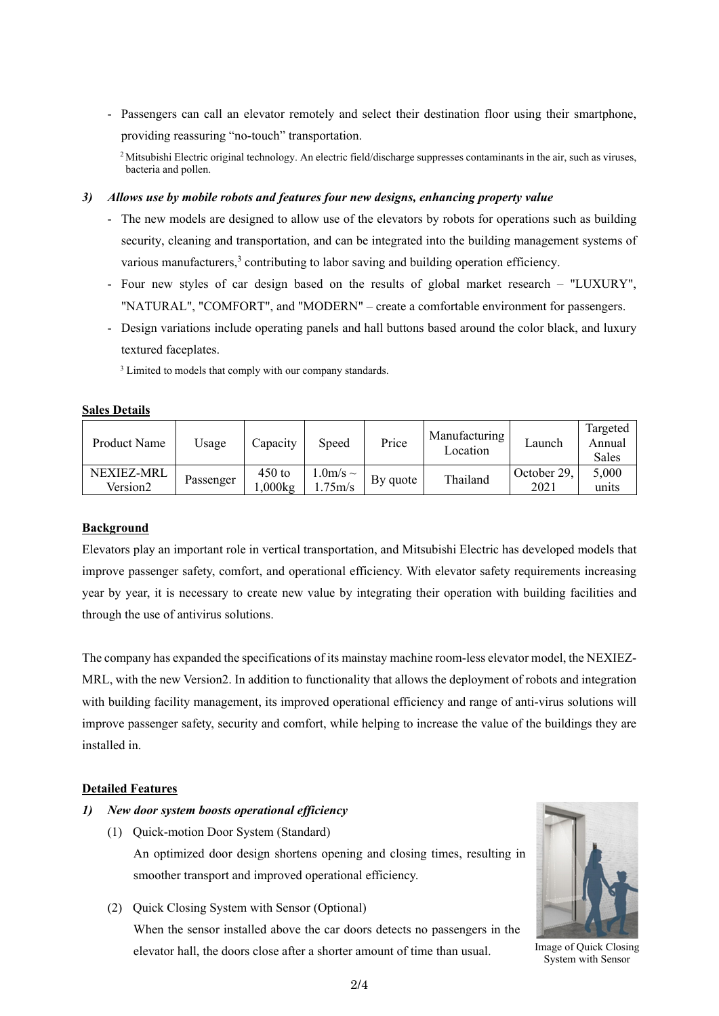- Passengers can call an elevator remotely and select their destination floor using their smartphone, providing reassuring "no-touch" transportation.

<sup>2</sup> Mitsubishi Electric original technology. An electric field/discharge suppresses contaminants in the air, such as viruses, bacteria and pollen.

#### *3) Allows use by mobile robots and features four new designs, enhancing property value*

- The new models are designed to allow use of the elevators by robots for operations such as building security, cleaning and transportation, and can be integrated into the building management systems of various manufacturers, $3$  contributing to labor saving and building operation efficiency.
- Four new styles of car design based on the results of global market research "LUXURY", "NATURAL", "COMFORT", and "MODERN" – create a comfortable environment for passengers.
- Design variations include operating panels and hall buttons based around the color black, and luxury textured faceplates.

<sup>3</sup> Limited to models that comply with our company standards.

### **Sales Details**

| Product Name | Usage     | Capacity | Speed              | Price    | Manufacturing<br>Location | Launch      | Targeted<br>Annual<br>Sales |
|--------------|-----------|----------|--------------------|----------|---------------------------|-------------|-----------------------------|
| NEXIEZ-MRL   | Passenger | $450$ to | .0m/s $\sim$       | By quote | Thailand                  | October 29. | 5,000                       |
| Version2     |           | .000kg   | .75 <sub>m/s</sub> |          |                           | 2021        | units                       |

# **Background**

Elevators play an important role in vertical transportation, and Mitsubishi Electric has developed models that improve passenger safety, comfort, and operational efficiency. With elevator safety requirements increasing year by year, it is necessary to create new value by integrating their operation with building facilities and through the use of antivirus solutions.

The company has expanded the specifications of its mainstay machine room-less elevator model, the NEXIEZ-MRL, with the new Version2. In addition to functionality that allows the deployment of robots and integration with building facility management, its improved operational efficiency and range of anti-virus solutions will improve passenger safety, security and comfort, while helping to increase the value of the buildings they are installed in.

# **Detailed Features**

# *1) New door system boosts operational efficiency*

(1) Quick-motion Door System (Standard)

An optimized door design shortens opening and closing times, resulting in smoother transport and improved operational efficiency.

(2) Quick Closing System with Sensor (Optional)

When the sensor installed above the car doors detects no passengers in the elevator hall, the doors close after a shorter amount of time than usual. Image of Quick Closing



System with Sensor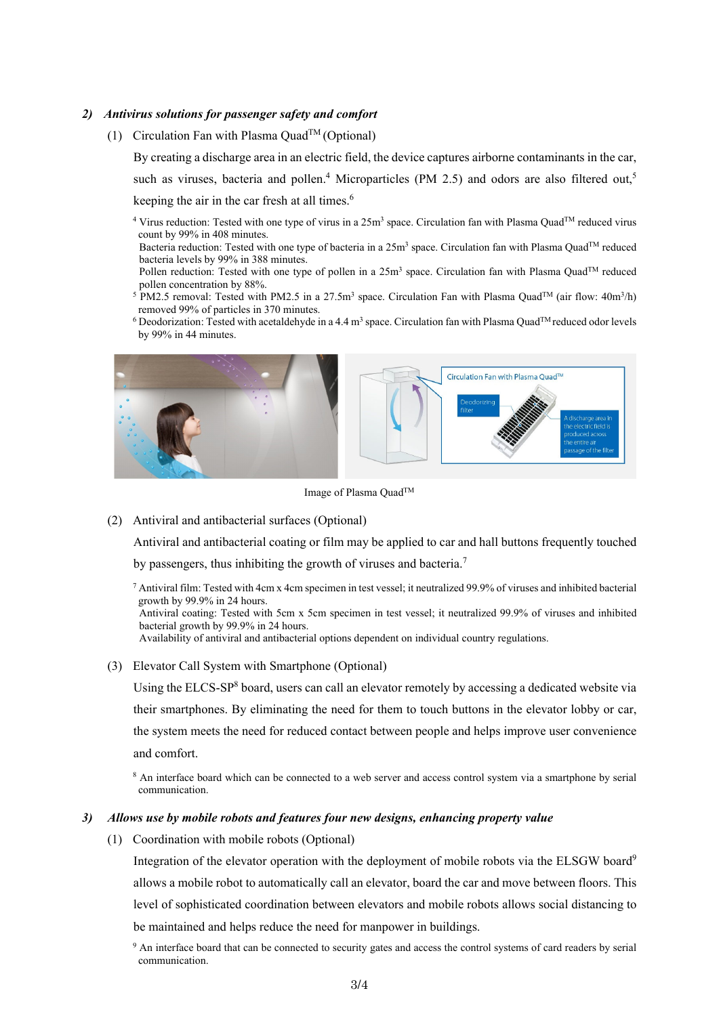### *2) Antivirus solutions for passenger safety and comfort*

(1) Circulation Fan with Plasma Quad<sup>TM</sup> (Optional)

By creating a discharge area in an electric field, the device captures airborne contaminants in the car, such as viruses, bacteria and pollen.<sup>4</sup> Microparticles (PM 2.5) and odors are also filtered out,<sup>5</sup> keeping the air in the car fresh at all times.<sup>6</sup>

- <sup>4</sup> Virus reduction: Tested with one type of virus in a  $25m<sup>3</sup>$  space. Circulation fan with Plasma Quad<sup>TM</sup> reduced virus count by 99% in 408 minutes.
- Bacteria reduction: Tested with one type of bacteria in a 25m<sup>3</sup> space. Circulation fan with Plasma Quad<sup>TM</sup> reduced bacteria levels by 99% in 388 minutes.
- Pollen reduction: Tested with one type of pollen in a 25m<sup>3</sup> space. Circulation fan with Plasma Quad™ reduced pollen concentration by 88%.
- <sup>5</sup> PM2.5 removal: Tested with PM2.5 in a 27.5m<sup>3</sup> space. Circulation Fan with Plasma Quad<sup>TM</sup> (air flow: 40m<sup>3</sup>/h) removed 99% of particles in 370 minutes.
- <sup>6</sup> Deodorization: Tested with acetaldehyde in a 4.4 m<sup>3</sup> space. Circulation fan with Plasma Quad<sup>TM</sup> reduced odor levels by 99% in 44 minutes.



Image of Plasma QuadTM

(2) Antiviral and antibacterial surfaces (Optional)

Antiviral and antibacterial coating or film may be applied to car and hall buttons frequently touched

by passengers, thus inhibiting the growth of viruses and bacteria.<sup>7</sup>

 $^7$  Antiviral film: Tested with 4cm x 4cm specimen in test vessel; it neutralized 99.9% of viruses and inhibited bacterial growth by 99.9% in 24 hours.

Antiviral coating: Tested with 5cm x 5cm specimen in test vessel; it neutralized 99.9% of viruses and inhibited bacterial growth by 99.9% in 24 hours.

Availability of antiviral and antibacterial options dependent on individual country regulations.

#### (3) Elevator Call System with Smartphone (Optional)

Using the ELCS-SP<sup>8</sup> board, users can call an elevator remotely by accessing a dedicated website via their smartphones. By eliminating the need for them to touch buttons in the elevator lobby or car, the system meets the need for reduced contact between people and helps improve user convenience and comfort.

<sup>8</sup> An interface board which can be connected to a web server and access control system via a smartphone by serial communication.

#### *3) Allows use by mobile robots and features four new designs, enhancing property value*

(1) Coordination with mobile robots (Optional)

Integration of the elevator operation with the deployment of mobile robots via the ELSGW board<sup>9</sup> allows a mobile robot to automatically call an elevator, board the car and move between floors. This level of sophisticated coordination between elevators and mobile robots allows social distancing to be maintained and helps reduce the need for manpower in buildings.

<sup>9</sup> An interface board that can be connected to security gates and access the control systems of card readers by serial communication.